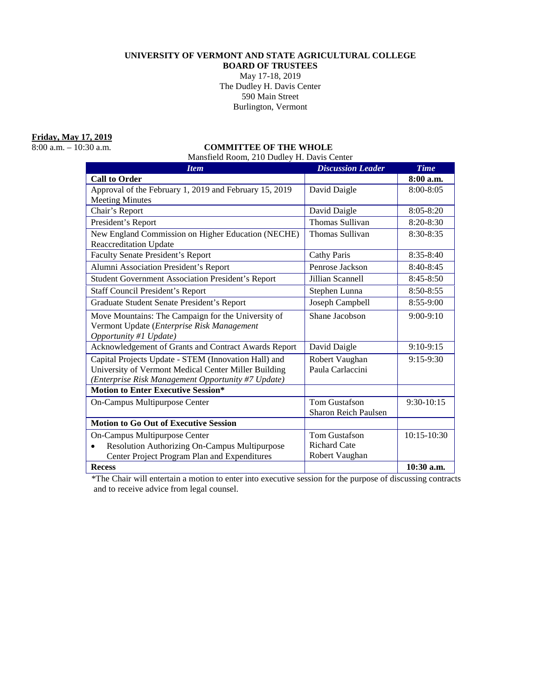#### **UNIVERSITY OF VERMONT AND STATE AGRICULTURAL COLLEGE**

**BOARD OF TRUSTEES** May 17-18, 2019 The Dudley H. Davis Center 590 Main Street Burlington, Vermont

**Friday, May 17, 2019**<br>8:00 a.m. – 10:30 a.m.

# COMMITTEE OF THE WHOLE

Mansfield Room, 210 Dudley H. Davis Center

| <b>Item</b>                                                | <b>Discussion Leader</b> | <b>Time</b>   |
|------------------------------------------------------------|--------------------------|---------------|
| <b>Call to Order</b>                                       |                          | 8:00 a.m.     |
| Approval of the February 1, 2019 and February 15, 2019     | David Daigle             | 8:00-8:05     |
| <b>Meeting Minutes</b>                                     |                          |               |
| Chair's Report                                             | David Daigle             | 8:05-8:20     |
| President's Report                                         | Thomas Sullivan          | 8:20-8:30     |
| New England Commission on Higher Education (NECHE)         | Thomas Sullivan          | 8:30-8:35     |
| <b>Reaccreditation Update</b>                              |                          |               |
| <b>Faculty Senate President's Report</b>                   | <b>Cathy Paris</b>       | 8:35-8:40     |
| Alumni Association President's Report                      | Penrose Jackson          | $8:40-8:45$   |
| <b>Student Government Association President's Report</b>   | Jillian Scannell         | $8:45-8:50$   |
| <b>Staff Council President's Report</b>                    | Stephen Lunna            | $8:50 - 8:55$ |
| Graduate Student Senate President's Report                 | Joseph Campbell          | $8:55-9:00$   |
| Move Mountains: The Campaign for the University of         | Shane Jacobson           | $9:00-9:10$   |
| Vermont Update (Enterprise Risk Management                 |                          |               |
| Opportunity #1 Update)                                     |                          |               |
| Acknowledgement of Grants and Contract Awards Report       | David Daigle             | $9:10-9:15$   |
| Capital Projects Update - STEM (Innovation Hall) and       | Robert Vaughan           | 9:15-9:30     |
| University of Vermont Medical Center Miller Building       | Paula Carlaccini         |               |
| (Enterprise Risk Management Opportunity #7 Update)         |                          |               |
| <b>Motion to Enter Executive Session*</b>                  |                          |               |
| On-Campus Multipurpose Center                              | <b>Tom Gustafson</b>     | $9:30-10:15$  |
|                                                            | Sharon Reich Paulsen     |               |
| <b>Motion to Go Out of Executive Session</b>               |                          |               |
| On-Campus Multipurpose Center                              | <b>Tom Gustafson</b>     | 10:15-10:30   |
| Resolution Authorizing On-Campus Multipurpose<br>$\bullet$ | <b>Richard Cate</b>      |               |
| Center Project Program Plan and Expenditures               | Robert Vaughan           |               |
| <b>Recess</b>                                              |                          | $10:30$ a.m.  |

\*The Chair will entertain a motion to enter into executive session for the purpose of discussing contracts and to receive advice from legal counsel.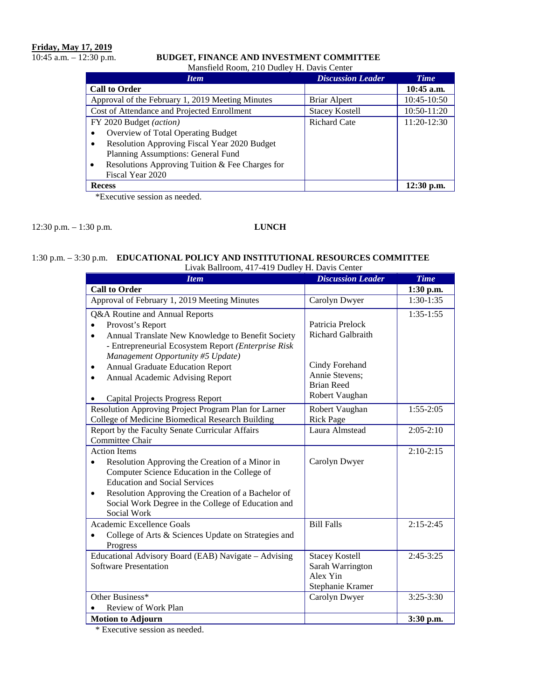# **Friday, May 17, 2019**<br>10:45 a.m. – 12:30 p.m.

# 10:45 a.m. – 12:30 p.m. **BUDGET, FINANCE AND INVESTMENT COMMITTEE**

Mansfield Room, 210 Dudley H. Davis Center

| <b>Item</b>                                                  | <b>Discussion Leader</b> | <b>Time</b>  |
|--------------------------------------------------------------|--------------------------|--------------|
| <b>Call to Order</b>                                         |                          | $10:45$ a.m. |
| Approval of the February 1, 2019 Meeting Minutes             | Briar Alpert             | 10:45-10:50  |
| Cost of Attendance and Projected Enrollment                  | <b>Stacey Kostell</b>    | 10:50-11:20  |
| FY 2020 Budget (action)                                      | <b>Richard Cate</b>      | 11:20-12:30  |
| Overview of Total Operating Budget<br>$\bullet$              |                          |              |
| Resolution Approving Fiscal Year 2020 Budget<br>$\bullet$    |                          |              |
| Planning Assumptions: General Fund                           |                          |              |
| Resolutions Approving Tuition & Fee Charges for<br>$\bullet$ |                          |              |
| Fiscal Year 2020                                             |                          |              |
| <b>Recess</b>                                                |                          | $12:30$ p.m. |

\*Executive session as needed.

12:30 p.m. – 1:30 p.m. **LUNCH**

#### 1:30 p.m. – 3:30 p.m. **EDUCATIONAL POLICY AND INSTITUTIONAL RESOURCES COMMITTEE**  Livak Ballroom, 417-419 Dudley H. Davis Center

| <b>Item</b>                                                       | <b>Discussion Leader</b> | <b>Time</b> |
|-------------------------------------------------------------------|--------------------------|-------------|
| <b>Call to Order</b>                                              |                          | 1:30 p.m.   |
| Approval of February 1, 2019 Meeting Minutes                      | Carolyn Dwyer            | $1:30-1:35$ |
| Q&A Routine and Annual Reports                                    |                          | $1:35-1:55$ |
| Provost's Report                                                  | Patricia Prelock         |             |
| Annual Translate New Knowledge to Benefit Society<br>$\bullet$    | <b>Richard Galbraith</b> |             |
| - Entrepreneurial Ecosystem Report (Enterprise Risk               |                          |             |
| Management Opportunity #5 Update)                                 |                          |             |
| <b>Annual Graduate Education Report</b><br>٠                      | Cindy Forehand           |             |
| Annual Academic Advising Report<br>$\bullet$                      | Annie Stevens;           |             |
|                                                                   | <b>Brian Reed</b>        |             |
| <b>Capital Projects Progress Report</b>                           | Robert Vaughan           |             |
| Resolution Approving Project Program Plan for Larner              | Robert Vaughan           | $1:55-2:05$ |
| College of Medicine Biomedical Research Building                  | <b>Rick Page</b>         |             |
| Report by the Faculty Senate Curricular Affairs                   | Laura Almstead           | $2:05-2:10$ |
| Committee Chair                                                   |                          |             |
| <b>Action Items</b>                                               |                          | $2:10-2:15$ |
| Resolution Approving the Creation of a Minor in                   | Carolyn Dwyer            |             |
| Computer Science Education in the College of                      |                          |             |
| <b>Education and Social Services</b>                              |                          |             |
| Resolution Approving the Creation of a Bachelor of<br>$\bullet$   |                          |             |
| Social Work Degree in the College of Education and<br>Social Work |                          |             |
| Academic Excellence Goals                                         | <b>Bill Falls</b>        | $2:15-2:45$ |
|                                                                   |                          |             |
| College of Arts & Sciences Update on Strategies and<br>Progress   |                          |             |
| Educational Advisory Board (EAB) Navigate - Advising              | <b>Stacey Kostell</b>    | $2:45-3:25$ |
| <b>Software Presentation</b>                                      | Sarah Warrington         |             |
|                                                                   | Alex Yin                 |             |
|                                                                   | Stephanie Kramer         |             |
| Other Business*                                                   | Carolyn Dwyer            | $3:25-3:30$ |
| Review of Work Plan                                               |                          |             |
| <b>Motion to Adjourn</b>                                          |                          | 3:30 p.m.   |

\* Executive session as needed.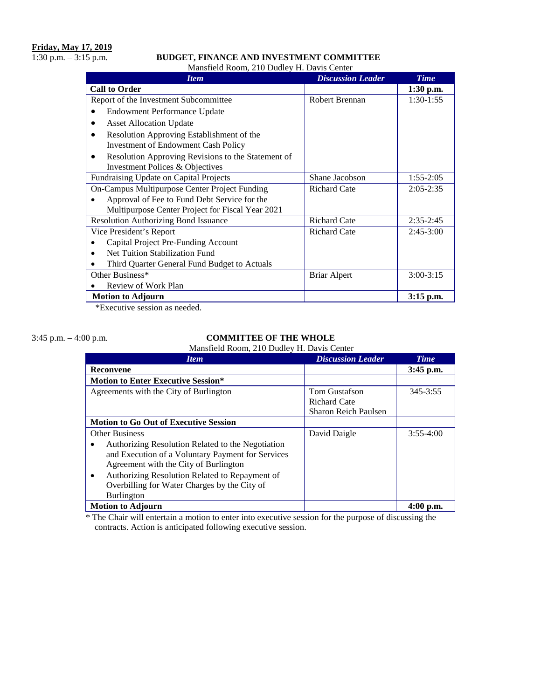### 1:30 p.m. – 3:15 p.m. **BUDGET, FINANCE AND INVESTMENT COMMITTEE**

Mansfield Room, 210 Dudley H. Davis Center

| <b>Item</b>                                                                             | <b>Discussion Leader</b> | <b>Time</b>   |
|-----------------------------------------------------------------------------------------|--------------------------|---------------|
| <b>Call to Order</b>                                                                    |                          | 1:30 p.m.     |
| Report of the Investment Subcommittee                                                   | <b>Robert Brennan</b>    | $1:30-1:55$   |
| Endowment Performance Update                                                            |                          |               |
| <b>Asset Allocation Update</b>                                                          |                          |               |
| Resolution Approving Establishment of the<br><b>Investment of Endowment Cash Policy</b> |                          |               |
| Resolution Approving Revisions to the Statement of<br>Investment Polices & Objectives   |                          |               |
| Fundraising Update on Capital Projects                                                  | Shane Jacobson           | $1:55-2:05$   |
| On-Campus Multipurpose Center Project Funding                                           | <b>Richard Cate</b>      | $2:05 - 2:35$ |
| Approval of Fee to Fund Debt Service for the                                            |                          |               |
| Multipurpose Center Project for Fiscal Year 2021                                        |                          |               |
| <b>Resolution Authorizing Bond Issuance</b>                                             | <b>Richard Cate</b>      | $2:35-2:45$   |
| Vice President's Report                                                                 | <b>Richard Cate</b>      | $2:45-3:00$   |
| Capital Project Pre-Funding Account                                                     |                          |               |
| Net Tuition Stabilization Fund                                                          |                          |               |
| Third Quarter General Fund Budget to Actuals                                            |                          |               |
| Other Business*                                                                         | <b>Briar Alpert</b>      | $3:00-3:15$   |
| Review of Work Plan                                                                     |                          |               |
| <b>Motion to Adjourn</b>                                                                |                          | 3:15 p.m.     |

\*Executive session as needed.

#### 3:45 p.m. – 4:00 p.m. **COMMITTEE OF THE WHOLE** Mansfield Room, 210 Dudley H. Davis Center

| <b>Item</b>                                                 | <b>Discussion Leader</b>    | <b>Time</b> |
|-------------------------------------------------------------|-----------------------------|-------------|
| <b>Reconvene</b>                                            |                             | $3:45$ p.m. |
| <b>Motion to Enter Executive Session*</b>                   |                             |             |
| Agreements with the City of Burlington                      | Tom Gustafson               | 345-3:55    |
|                                                             | <b>Richard Cate</b>         |             |
|                                                             | <b>Sharon Reich Paulsen</b> |             |
| <b>Motion to Go Out of Executive Session</b>                |                             |             |
| <b>Other Business</b>                                       | David Daigle                | $3:55-4:00$ |
| Authorizing Resolution Related to the Negotiation<br>٠      |                             |             |
| and Execution of a Voluntary Payment for Services           |                             |             |
| Agreement with the City of Burlington                       |                             |             |
| Authorizing Resolution Related to Repayment of<br>$\bullet$ |                             |             |
| Overbilling for Water Charges by the City of                |                             |             |
| <b>Burlington</b>                                           |                             |             |
| <b>Motion to Adjourn</b>                                    |                             | $4:00$ p.m. |

 \* The Chair will entertain a motion to enter into executive session for the purpose of discussing the contracts. Action is anticipated following executive session.